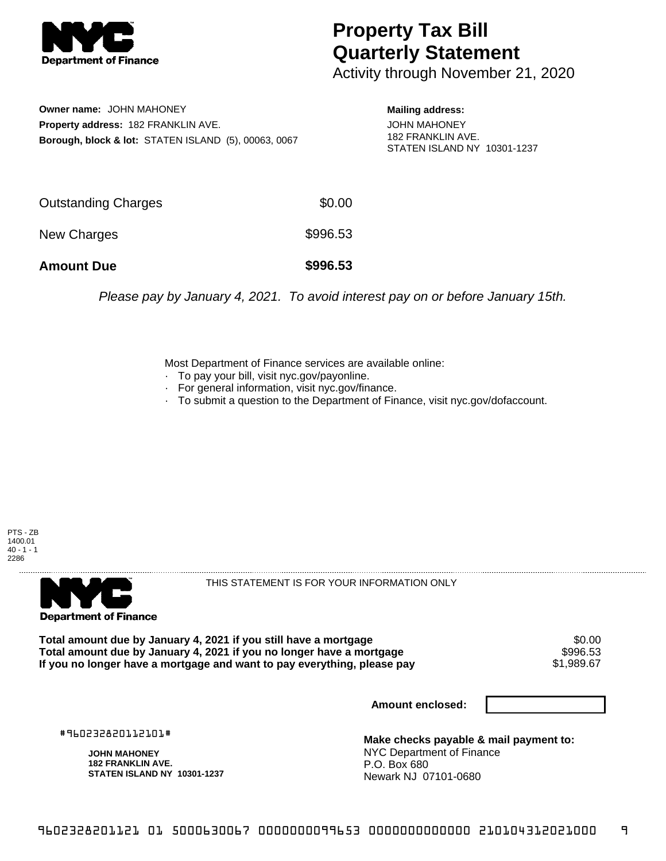

## **Property Tax Bill Quarterly Statement**

Activity through November 21, 2020

**Owner name:** JOHN MAHONEY **Property address:** 182 FRANKLIN AVE. **Borough, block & lot:** STATEN ISLAND (5), 00063, 0067 **Mailing address:**

JOHN MAHONEY 182 FRANKLIN AVE. STATEN ISLAND NY 10301-1237

| <b>Amount Due</b>   | \$996.53 |
|---------------------|----------|
| New Charges         | \$996.53 |
| Outstanding Charges | \$0.00   |

Please pay by January 4, 2021. To avoid interest pay on or before January 15th.

Most Department of Finance services are available online:

- · To pay your bill, visit nyc.gov/payonline.
- For general information, visit nyc.gov/finance.
- · To submit a question to the Department of Finance, visit nyc.gov/dofaccount.





THIS STATEMENT IS FOR YOUR INFORMATION ONLY

Total amount due by January 4, 2021 if you still have a mortgage \$0.00<br>Total amount due by January 4, 2021 if you no longer have a mortgage \$996.53 **Total amount due by January 4, 2021 if you no longer have a mortgage \$996.53<br>If you no longer have a mortgage and want to pay everything, please pay \$1,989.67** If you no longer have a mortgage and want to pay everything, please pay

**Amount enclosed:**

#960232820112101#

**JOHN MAHONEY 182 FRANKLIN AVE. STATEN ISLAND NY 10301-1237**

**Make checks payable & mail payment to:** NYC Department of Finance P.O. Box 680 Newark NJ 07101-0680